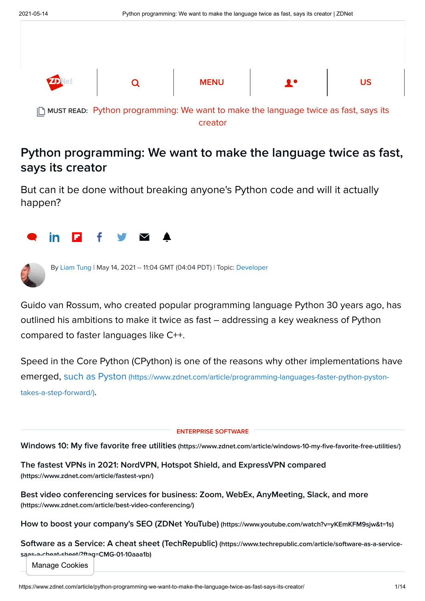

## Python programming: We want to make the language twice as fast, says its creator

But can it be done without breaking anyone's Python code and will it actually happen?





By [Liam Tung](https://www.zdnet.com/meet-the-team/eu/liam-tung/) | May 14, 2021 -- 11:04 GMT (04:04 PDT) | Topic: [Developer](https://www.zdnet.com/topic/developer/)

Guido van Rossum, who created popular programming language Python 30 years ago, has outlined his ambitions to make it twice as fast – addressing a key weakness of Python compared to faster languages like C++.

Speed in the Core Python (CPython) is one of the reasons why other implementations have emerged, such as Pyston [\(https://www.zdnet.com/article/programming-languages-faster-python-pyston](https://www.zdnet.com/article/programming-languages-faster-python-pyston-takes-a-step-forward/)takes-a-step-forward/).

ENTERPRISE SOFTWARE

Windows 10: My five favorite free utilities [\(https://www.zdnet.com/article/windows-10-my-five-favorite-free-utilities/\)](https://www.zdnet.com/article/windows-10-my-five-favorite-free-utilities/)

[The fastest VPNs in 2021: NordVPN, Hotspot Shield, and ExpressVPN compared](https://www.zdnet.com/article/fastest-vpn/) (https://www.zdnet.com/article/fastest-vpn/)

[Best video conferencing services for business: Zoom, WebEx, AnyMeeting, Slack, and more](https://www.zdnet.com/article/best-video-conferencing/) (https://www.zdnet.com/article/best-video-conferencing/)

[How to boost your company's SEO \(ZDNet YouTube\)](https://www.youtube.com/watch?v=yKEmKFM9sjw&t=1s) (https://www.youtube.com/watch?v=yKEmKFM9sjw&t=1s)

[Software as a Service: A cheat sheet \(TechRepublic\)](https://www.techrepublic.com/article/software-as-a-service-saas-a-cheat-sheet/?ftag=CMG-01-10aaa1b) (https://www.techrepublic.com/article/software-as-a-servicesaas-a-cheat-sheet/?ftag=CMG-01-10aaa1b)

Manage Cookies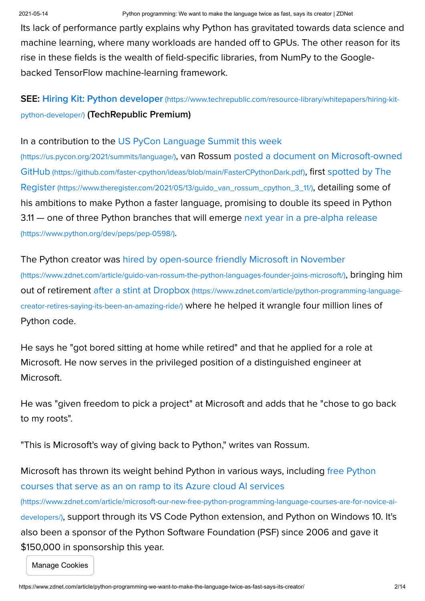Its lack of performance partly explains why Python has gravitated towards data science and machine learning, where many workloads are handed off to GPUs. The other reason for its rise in these fields is the wealth of field-specific libraries, from NumPy to the Googlebacked TensorFlow machine-learning framework.

SEE: Hiring Kit: Python developer [\(https://www.techrepublic.com/resource-library/whitepapers/hiring-kit](https://www.techrepublic.com/resource-library/whitepapers/hiring-kit-python-developer/)python-developer/) (TechRepublic Premium)

[In a contribution to the US PyCon Language Summit this week](https://us.pycon.org/2021/summits/language/)

(https://us.pycon.org/2021/summits/language/)[, van Rossum posted a document on Microsoft-owned](https://github.com/faster-cpython/ideas/blob/main/FasterCPythonDark.pdf) GitHub (https://github.com/faster-cpython/ideas/blob/main/FasterCPythonDark.pdf), first spotted by The Register [\(https://www.theregister.com/2021/05/13/guido\\_van\\_rossum\\_cpython\\_3\\_11/\)](https://www.theregister.com/2021/05/13/guido_van_rossum_cpython_3_11/), detailing some of his ambitions to make Python a faster language, promising to double its speed in Python [3.11 — one of three Python branches that will emerge next year in a pre-alpha release](https://www.python.org/dev/peps/pep-0598/) (https://www.python.org/dev/peps/pep-0598/).

[The Python creator was hired by open-source friendly Microsoft in November](https://www.zdnet.com/article/guido-van-rossum-the-python-languages-founder-joins-microsoft/) (https://www.zdnet.com/article/guido-van-rossum-the-python-languages-founder-joins-microsoft/), bringing him out of retirement after a stint at Dropbox (https://www.zdnet.com/article/python-programming-languagecreator-retires-saying-its-been-an-amazing-ride/) [where he helped it wrangle four million lines of](https://www.zdnet.com/article/python-programming-language-creator-retires-saying-its-been-an-amazing-ride/) Python code.

He says he "got bored sitting at home while retired" and that he applied for a role at Microsoft. He now serves in the privileged position of a distinguished engineer at Microsoft.

He was "given freedom to pick a project" at Microsoft and adds that he "chose to go back to my roots".

"This is Microsoft's way of giving back to Python," writes van Rossum.

[Microsoft has thrown its weight behind Python in various ways, including free Python](https://www.zdnet.com/article/microsoft-our-new-free-python-programming-language-courses-are-for-novice-ai-developers/) courses that serve as an on ramp to its Azure cloud AI services (https://www.zdnet.com/article/microsoft-our-new-free-python-programming-language-courses-are-for-novice-aidevelopers/), support through its VS Code Python extension, and Python on Windows 10. It's also been a sponsor of the Python Software Foundation (PSF) since 2006 and gave it \$150,000 in sponsorship this year.

Manage Cookies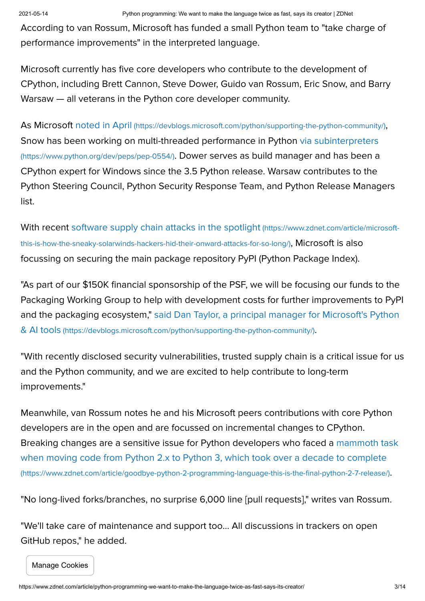According to van Rossum, Microsoft has funded a small Python team to "take charge of performance improvements" in the interpreted language.

Microsoft currently has five core developers who contribute to the development of CPython, including Brett Cannon, Steve Dower, Guido van Rossum, Eric Snow, and Barry Warsaw — all veterans in the Python core developer community.

As Microsoft noted in April [\(https://devblogs.microsoft.com/python/supporting-the-python-community/\)](https://devblogs.microsoft.com/python/supporting-the-python-community/), [Snow has been working on multi-threaded performance in Python via subinterpreters](https://www.python.org/dev/peps/pep-0554/) (https://www.python.org/dev/peps/pep-0554/). Dower serves as build manager and has been a CPython expert for Windows since the 3.5 Python release. Warsaw contributes to the Python Steering Council, Python Security Response Team, and Python Release Managers list.

[With recent software supply chain attacks in the spotlight](https://www.zdnet.com/article/microsoft-this-is-how-the-sneaky-solarwinds-hackers-hid-their-onward-attacks-for-so-long/) (https://www.zdnet.com/article/microsoftthis-is-how-the-sneaky-solarwinds-hackers-hid-their-onward-attacks-for-so-long/), Microsoft is also focussing on securing the main package repository PyPI (Python Package Index).

"As part of our \$150K financial sponsorship of the PSF, we will be focusing our funds to the Packaging Working Group to help with development costs for further improvements to PyPI [and the packaging ecosystem," said Dan Taylor, a principal manager for Microsoft's Python](https://devblogs.microsoft.com/python/supporting-the-python-community/) & AI tools (https://devblogs.microsoft.com/python/supporting-the-python-community/).

"With recently disclosed security vulnerabilities, trusted supply chain is a critical issue for us and the Python community, and we are excited to help contribute to long-term improvements."

Meanwhile, van Rossum notes he and his Microsoft peers contributions with core Python developers are in the open and are focussed on incremental changes to CPython. [Breaking changes are a sensitive issue for Python developers who faced a mammoth task](https://www.zdnet.com/article/goodbye-python-2-programming-language-this-is-the-final-python-2-7-release/) when moving code from Python 2.x to Python 3, which took over a decade to complete (https://www.zdnet.com/article/goodbye-python-2-programming-language-this-is-the-final-python-2-7-release/).

"No long-lived forks/branches, no surprise 6,000 line [pull requests]," writes van Rossum.

"We'll take care of maintenance and support too… All discussions in trackers on open GitHub repos," he added.

Manage Cookies